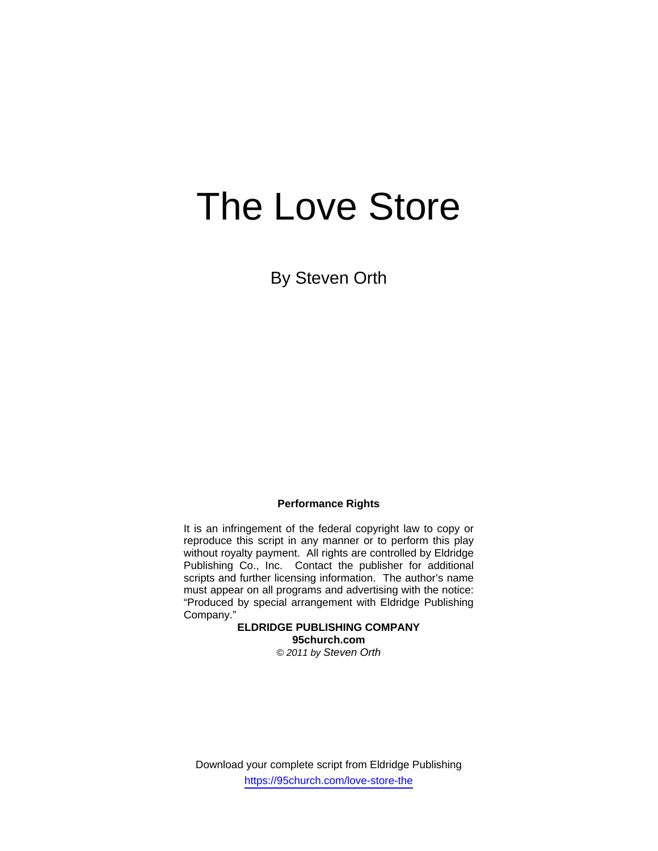# The Love Store

By Steven Orth

### **Performance Rights**

It is an infringement of the federal copyright law to copy or reproduce this script in any manner or to perform this play without royalty payment. All rights are controlled by Eldridge Publishing Co., Inc. Contact the publisher for additional scripts and further licensing information. The author's name must appear on all programs and advertising with the notice: "Produced by special arrangement with Eldridge Publishing Company."

**ELDRIDGE PUBLISHING COMPANY 95church.com**  *© 2011 by Steven Orth* 

Download your complete script from Eldridge Publishing https://95church.com/love-store-the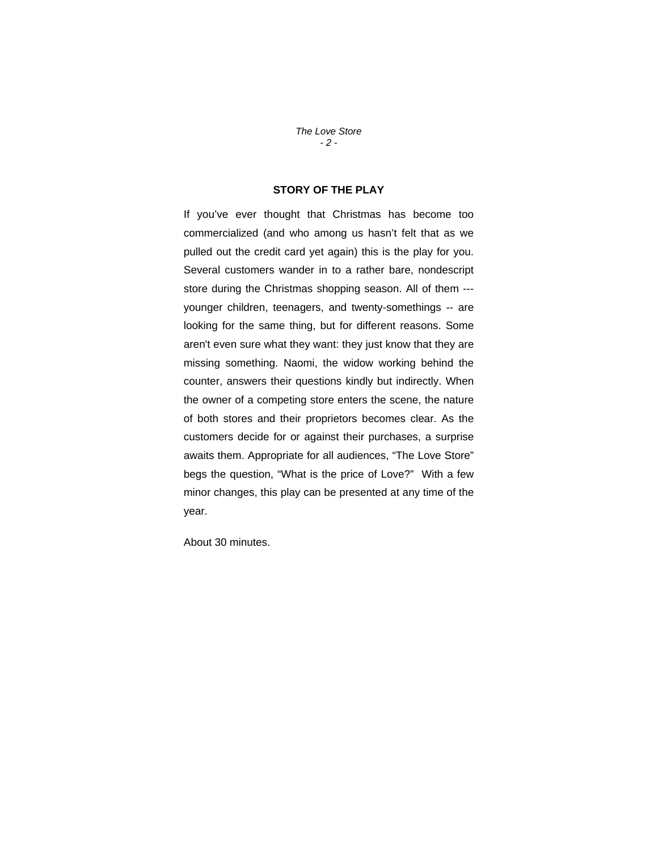*The Love Store - 2 -* 

## **STORY OF THE PLAY**

If you've ever thought that Christmas has become too commercialized (and who among us hasn't felt that as we pulled out the credit card yet again) this is the play for you. Several customers wander in to a rather bare, nondescript store during the Christmas shopping season. All of them -- younger children, teenagers, and twenty-somethings -- are looking for the same thing, but for different reasons. Some aren't even sure what they want: they just know that they are missing something. Naomi, the widow working behind the counter, answers their questions kindly but indirectly. When the owner of a competing store enters the scene, the nature of both stores and their proprietors becomes clear. As the customers decide for or against their purchases, a surprise awaits them. Appropriate for all audiences, "The Love Store" begs the question, "What is the price of Love?" With a few minor changes, this play can be presented at any time of the year.

About 30 minutes.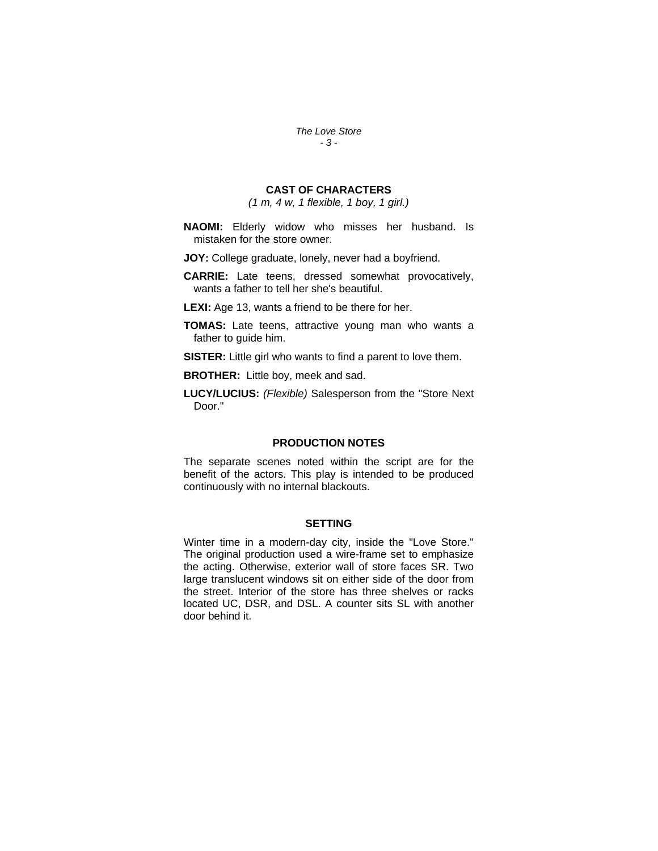*The Love Store - 3 -* 

## **CAST OF CHARACTERS**

*(1 m, 4 w, 1 flexible, 1 boy, 1 girl.)* 

**NAOMI:** Elderly widow who misses her husband. Is mistaken for the store owner.

**JOY:** College graduate, lonely, never had a boyfriend.

**CARRIE:** Late teens, dressed somewhat provocatively, wants a father to tell her she's beautiful.

**LEXI:** Age 13, wants a friend to be there for her.

**TOMAS:** Late teens, attractive young man who wants a father to guide him.

**SISTER:** Little girl who wants to find a parent to love them.

**BROTHER:** Little boy, meek and sad.

**LUCY/LUCIUS:** *(Flexible)* Salesperson from the "Store Next Door."

#### **PRODUCTION NOTES**

The separate scenes noted within the script are for the benefit of the actors. This play is intended to be produced continuously with no internal blackouts.

#### **SETTING**

Winter time in a modern-day city, inside the "Love Store." The original production used a wire-frame set to emphasize the acting. Otherwise, exterior wall of store faces SR. Two large translucent windows sit on either side of the door from the street. Interior of the store has three shelves or racks located UC, DSR, and DSL. A counter sits SL with another door behind it.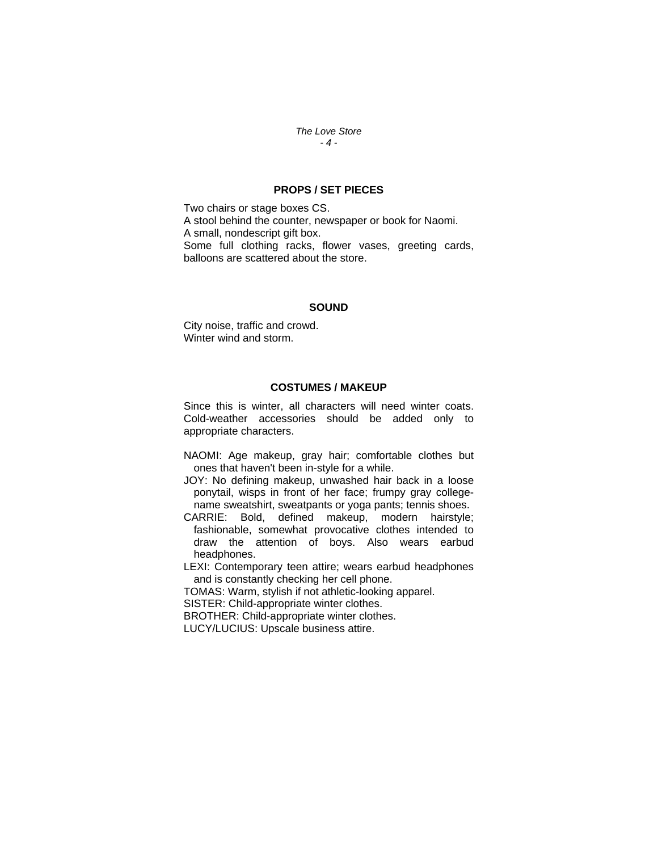#### *The Love Store - 4 -*

## **PROPS / SET PIECES**

Two chairs or stage boxes CS. A stool behind the counter, newspaper or book for Naomi. A small, nondescript gift box. Some full clothing racks, flower vases, greeting cards, balloons are scattered about the store.

#### **SOUND**

City noise, traffic and crowd. Winter wind and storm.

#### **COSTUMES / MAKEUP**

Since this is winter, all characters will need winter coats. Cold-weather accessories should be added only to appropriate characters.

NAOMI: Age makeup, gray hair; comfortable clothes but ones that haven't been in-style for a while.

JOY: No defining makeup, unwashed hair back in a loose ponytail, wisps in front of her face; frumpy gray collegename sweatshirt, sweatpants or yoga pants; tennis shoes.

CARRIE: Bold, defined makeup, modern hairstyle; fashionable, somewhat provocative clothes intended to draw the attention of boys. Also wears earbud headphones.

LEXI: Contemporary teen attire; wears earbud headphones and is constantly checking her cell phone.

TOMAS: Warm, stylish if not athletic-looking apparel.

SISTER: Child-appropriate winter clothes.

BROTHER: Child-appropriate winter clothes.

LUCY/LUCIUS: Upscale business attire.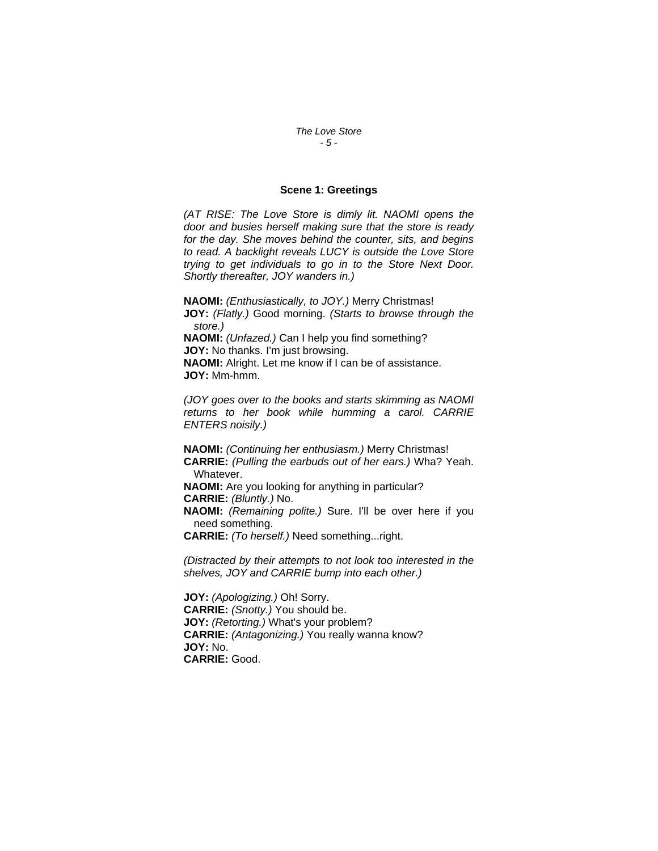*The Love Store - 5 -* 

#### **Scene 1: Greetings**

*(AT RISE: The Love Store is dimly lit. NAOMI opens the door and busies herself making sure that the store is ready for the day. She moves behind the counter, sits, and begins to read. A backlight reveals LUCY is outside the Love Store trying to get individuals to go in to the Store Next Door. Shortly thereafter, JOY wanders in.)* 

**NAOMI:** *(Enthusiastically, to JOY.)* Merry Christmas! **JOY:** *(Flatly.)* Good morning. *(Starts to browse through the store.)*  **NAOMI:** *(Unfazed.)* Can I help you find something?

**JOY:** No thanks. I'm just browsing.

**NAOMI:** Alright. Let me know if I can be of assistance. **JOY:** Mm-hmm.

*(JOY goes over to the books and starts skimming as NAOMI returns to her book while humming a carol. CARRIE ENTERS noisily.)* 

**NAOMI:** *(Continuing her enthusiasm.)* Merry Christmas! **CARRIE:** *(Pulling the earbuds out of her ears.)* Wha? Yeah. Whatever. **NAOMI:** Are you looking for anything in particular? **CARRIE:** *(Bluntly.)* No. **NAOMI:** *(Remaining polite.)* Sure. I'll be over here if you need something.

**CARRIE:** *(To herself.)* Need something...right.

*(Distracted by their attempts to not look too interested in the shelves, JOY and CARRIE bump into each other.)* 

**JOY:** *(Apologizing.)* Oh! Sorry. **CARRIE:** *(Snotty.)* You should be. **JOY:** *(Retorting.)* What's your problem? **CARRIE:** *(Antagonizing.)* You really wanna know? **JOY:** No. **CARRIE:** Good.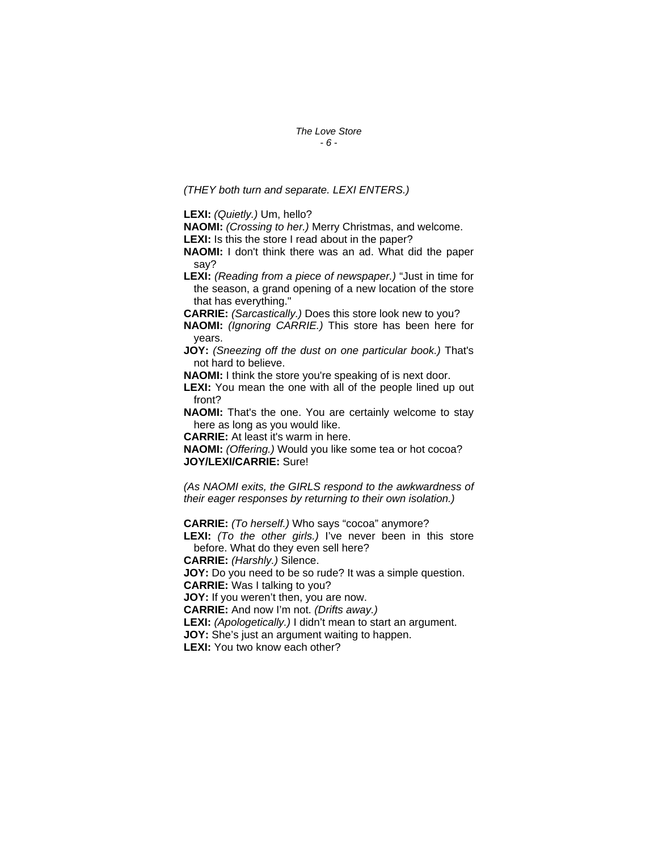*The Love Store - 6 -* 

*(THEY both turn and separate. LEXI ENTERS.)* 

**LEXI:** *(Quietly.)* Um, hello?

**NAOMI:** *(Crossing to her.)* Merry Christmas, and welcome. LEXI: Is this the store I read about in the paper?

**NAOMI:** I don't think there was an ad. What did the paper say?

**LEXI:** *(Reading from a piece of newspaper.)* "Just in time for the season, a grand opening of a new location of the store that has everything."

**CARRIE:** *(Sarcastically.)* Does this store look new to you?

**NAOMI:** *(Ignoring CARRIE.)* This store has been here for years.

**JOY:** *(Sneezing off the dust on one particular book.)* That's not hard to believe.

**NAOMI:** I think the store you're speaking of is next door.

LEXI: You mean the one with all of the people lined up out front?

**NAOMI:** That's the one. You are certainly welcome to stay here as long as you would like.

**CARRIE:** At least it's warm in here.

**NAOMI:** *(Offering.)* Would you like some tea or hot cocoa? **JOY/LEXI/CARRIE:** Sure!

*(As NAOMI exits, the GIRLS respond to the awkwardness of their eager responses by returning to their own isolation.)* 

**CARRIE:** *(To herself.)* Who says "cocoa" anymore?

**LEXI:** *(To the other girls.)* I've never been in this store before. What do they even sell here?

**CARRIE:** *(Harshly.)* Silence.

**JOY:** Do you need to be so rude? It was a simple question. **CARRIE:** Was I talking to you?

**JOY:** If you weren't then, you are now.

**CARRIE:** And now I'm not. *(Drifts away.)* 

**LEXI:** *(Apologetically.)* I didn't mean to start an argument.

**JOY:** She's just an argument waiting to happen.

**LEXI:** You two know each other?